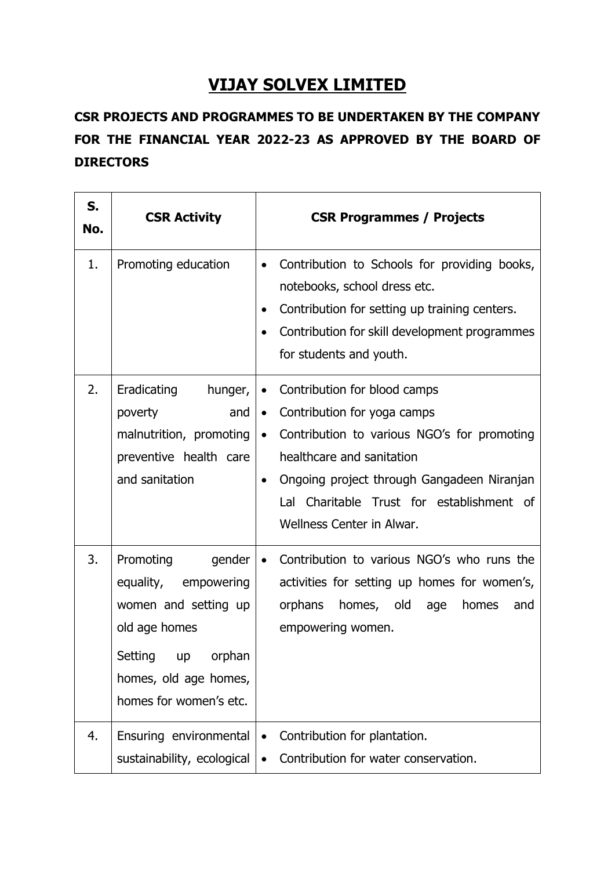## **VIJAY SOLVEX LIMITED**

## **CSR PROJECTS AND PROGRAMMES TO BE UNDERTAKEN BY THE COMPANY FOR THE FINANCIAL YEAR 2022-23 AS APPROVED BY THE BOARD OF DIRECTORS**

| S.<br>No. | <b>CSR Activity</b>                                                                                                                                          | <b>CSR Programmes / Projects</b>                                                                                                                                                                                                                                                                                    |
|-----------|--------------------------------------------------------------------------------------------------------------------------------------------------------------|---------------------------------------------------------------------------------------------------------------------------------------------------------------------------------------------------------------------------------------------------------------------------------------------------------------------|
| 1.        | Promoting education                                                                                                                                          | Contribution to Schools for providing books,<br>$\bullet$<br>notebooks, school dress etc.<br>Contribution for setting up training centers.<br>$\bullet$<br>Contribution for skill development programmes<br>$\bullet$<br>for students and youth.                                                                    |
| 2.        | Eradicating<br>hunger,<br>poverty<br>and<br>malnutrition, promoting<br>preventive health care<br>and sanitation                                              | Contribution for blood camps<br>$\bullet$<br>Contribution for yoga camps<br>$\bullet$<br>Contribution to various NGO's for promoting<br>$\bullet$<br>healthcare and sanitation<br>Ongoing project through Gangadeen Niranjan<br>$\bullet$<br>Lal Charitable Trust for establishment of<br>Wellness Center in Alwar. |
| 3.        | Promoting<br>gender<br>equality, empowering<br>women and setting up<br>old age homes<br>Setting up orphan<br>homes, old age homes,<br>homes for women's etc. | Contribution to various NGO's who runs the<br>$\bullet$<br>activities for setting up homes for women's,<br>orphans<br>homes, old age<br>homes<br>and<br>empowering women.                                                                                                                                           |
| 4.        | Ensuring environmental<br>sustainability, ecological                                                                                                         | Contribution for plantation.<br>$\bullet$<br>Contribution for water conservation.<br>$\bullet$                                                                                                                                                                                                                      |